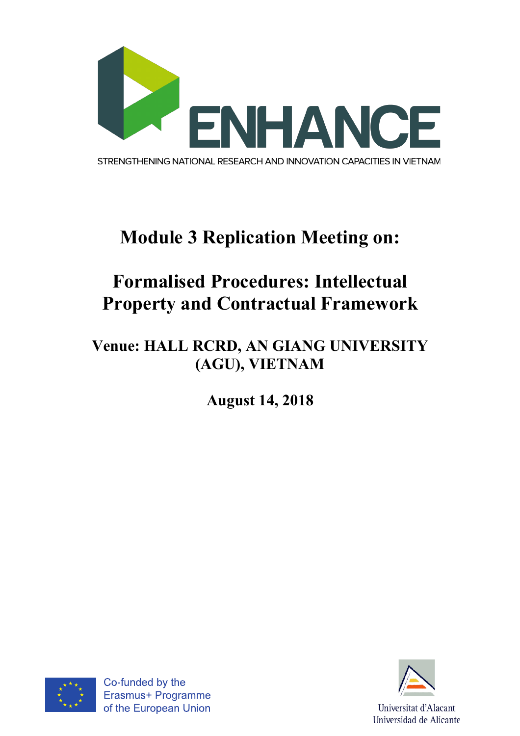

# **Module 3 Replication Meeting on:**

## **Formalised Procedures: Intellectual Property and Contractual Framework**

### **Venue: HALL RCRD, AN GIANG UNIVERSITY (AGU), VIETNAM**

**August 14, 2018**



Co-funded by the Erasmus+ Programme of the European Union

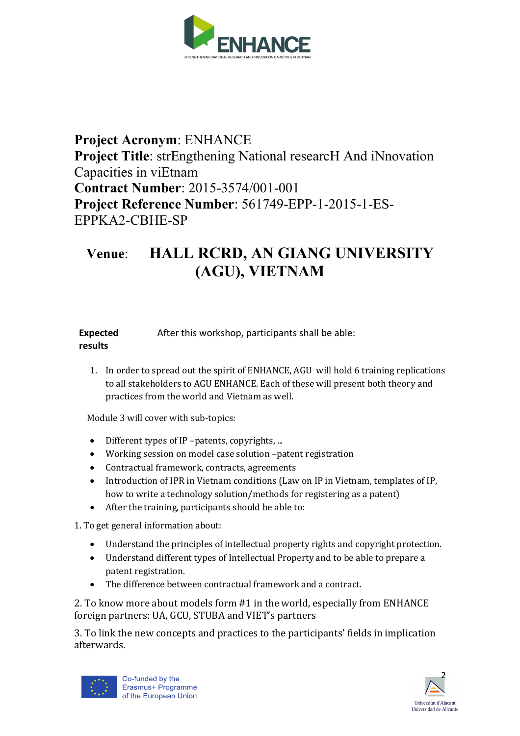

#### **Project Acronym**: ENHANCE **Project Title**: strEngthening National researcH And iNnovation Capacities in viEtnam **Contract Number**: 2015-3574/001-001 **Project Reference Number**: 561749-EPP-1-2015-1-ES-EPPKA2-CBHE-SP

#### **Venue**: **HALL RCRD, AN GIANG UNIVERSITY (AGU), VIETNAM**

| <b>Expected</b> | After this workshop, participants shall be able: |  |
|-----------------|--------------------------------------------------|--|
| results         |                                                  |  |

1. In order to spread out the spirit of ENHANCE, AGU will hold 6 training replications to all stakeholders to AGU ENHANCE. Each of these will present both theory and practices from the world and Vietnam as well.

Module 3 will cover with sub-topics:

- Different types of IP -patents, copyrights, ...
- Working session on model case solution -patent registration
- Contractual framework, contracts, agreements
- Introduction of IPR in Vietnam conditions (Law on IP in Vietnam, templates of IP, how to write a technology solution/methods for registering as a patent)
- After the training, participants should be able to:

1. To get general information about:

- Understand the principles of intellectual property rights and copyright protection.
- Understand different types of Intellectual Property and to be able to prepare a patent registration.
- $\bullet$  The difference between contractual framework and a contract.

2. To know more about models form #1 in the world, especially from ENHANCE foreign partners: UA, GCU, STUBA and VIET's partners

3. To link the new concepts and practices to the participants' fields in implication afterwards.